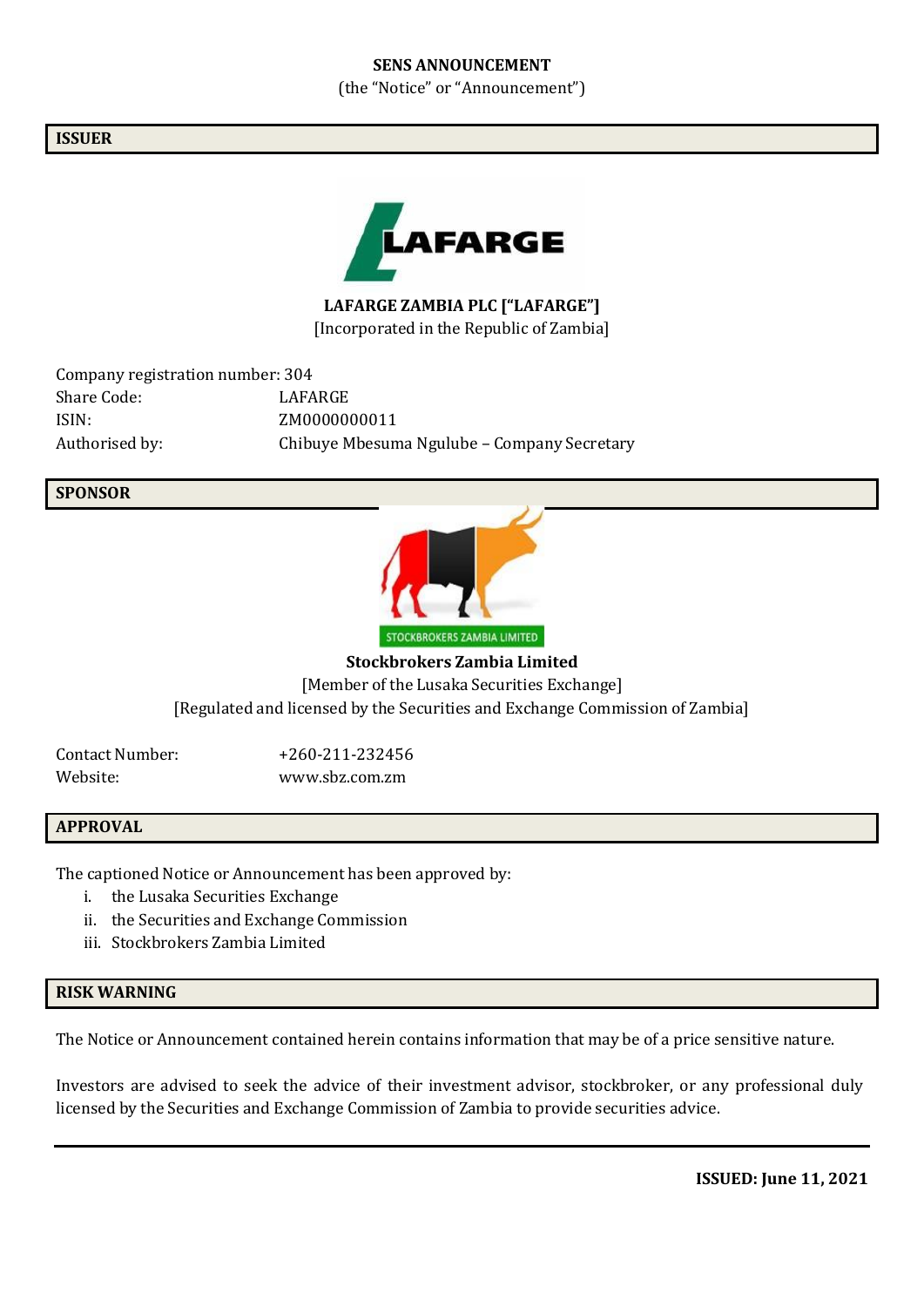#### **SENS ANNOUNCEMENT**

(the "Notice" or "Announcement")

#### **ISSUER**



**LAFARGE ZAMBIA PLC ["LAFARGE"]** [Incorporated in the Republic of Zambia]

Company registration number: 304 Share Code: LAFARGE ISIN: ZM0000000011 Authorised by: Chibuye Mbesuma Ngulube – Company Secretary

#### **SPONSOR**



**Stockbrokers Zambia Limited** [Member of the Lusaka Securities Exchange] [Regulated and licensed by the Securities and Exchange Commission of Zambia]

Contact Number: +260-211-232456 Website: [www.sbz.com.zm](http://www.sbz.com.zm/)

## **APPROVAL**

The captioned Notice or Announcement has been approved by:

- i. the Lusaka Securities Exchange
- ii. the Securities and Exchange Commission
- iii. Stockbrokers Zambia Limited

## **RISK WARNING**

The Notice or Announcement contained herein contains information that may be of a price sensitive nature.

Investors are advised to seek the advice of their investment advisor, stockbroker, or any professional duly licensed by the Securities and Exchange Commission of Zambia to provide securities advice.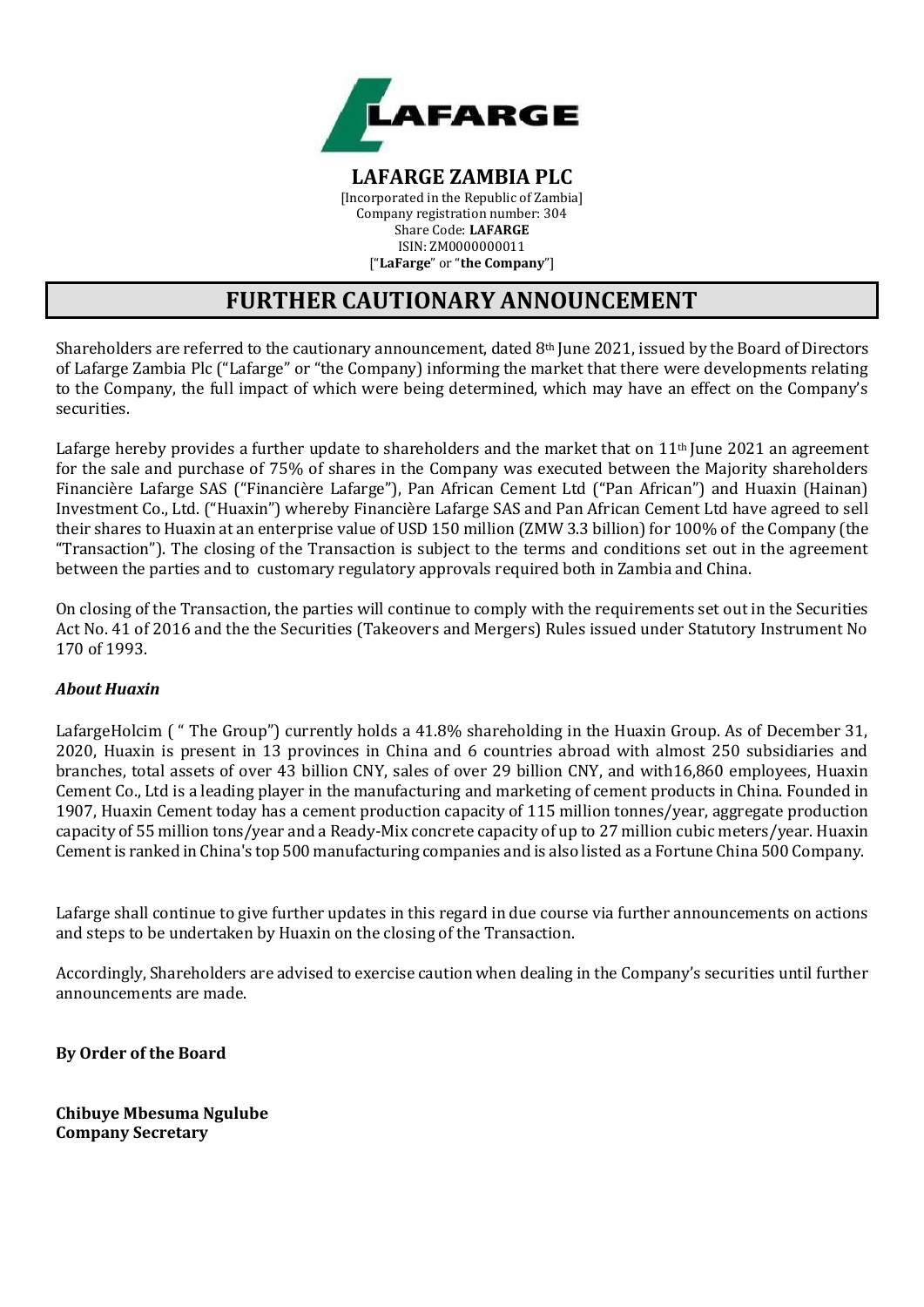

**LAFARGE ZAMBIA PLC** [Incorporated in the Republic of Zambia] Company registration number: 304 Share Code: **LAFARGE** ISIN: ZM0000000011 ["**LaFarge**" or "**the Company**"]

# **FURTHER CAUTIONARY ANNOUNCEMENT**

Shareholders are referred to the cautionary announcement, dated 8th June 2021, issued by the Board of Directors of Lafarge Zambia Plc ("Lafarge" or "the Company) informing the market that there were developments relating to the Company, the full impact of which were being determined, which may have an effect on the Company's securities.

Lafarge hereby provides a further update to shareholders and the market that on 11<sup>th</sup> June 2021 an agreement for the sale and purchase of 75% of shares in the Company was executed between the Majority shareholders Financière Lafarge SAS ("Financière Lafarge"), Pan African Cement Ltd ("Pan African") and Huaxin (Hainan) Investment Co., Ltd. ("Huaxin") whereby Financière Lafarge SAS and Pan African Cement Ltd have agreed to sell their shares to Huaxin at an enterprise value of USD 150 million (ZMW 3.3 billion) for 100% of the Company (the "Transaction"). The closing of the Transaction is subject to the terms and conditions set out in the agreement between the parties and to customary regulatory approvals required both in Zambia and China.

On closing of the Transaction, the parties will continue to comply with the requirements set out in the Securities Act No. 41 of 2016 and the the Securities (Takeovers and Mergers) Rules issued under Statutory Instrument No 170 of 1993.

## *About Huaxin*

LafargeHolcim ( " The Group") currently holds a 41.8% shareholding in the Huaxin Group. As of December 31, 2020, Huaxin is present in 13 provinces in China and 6 countries abroad with almost 250 subsidiaries and branches, total assets of over 43 billion CNY, sales of over 29 billion CNY, and with16,860 employees, Huaxin Cement Co., Ltd is a leading player in the manufacturing and marketing of cement products in China. Founded in 1907, Huaxin Cement today has a cement production capacity of 115 million tonnes/year, aggregate production capacity of 55 million tons/year and a Ready-Mix concrete capacity of up to 27 million cubic meters/year. Huaxin Cementis ranked in China's top 500 manufacturing companies and is also listed as a Fortune China 500 Company.

Lafarge shall continue to give further updates in this regard in due course via further announcements on actions and steps to be undertaken by Huaxin on the closing of the Transaction.

Accordingly, Shareholders are advised to exercise caution when dealing in the Company's securities until further announcements are made.

**By Order of the Board**

**Chibuye Mbesuma Ngulube Company Secretary**